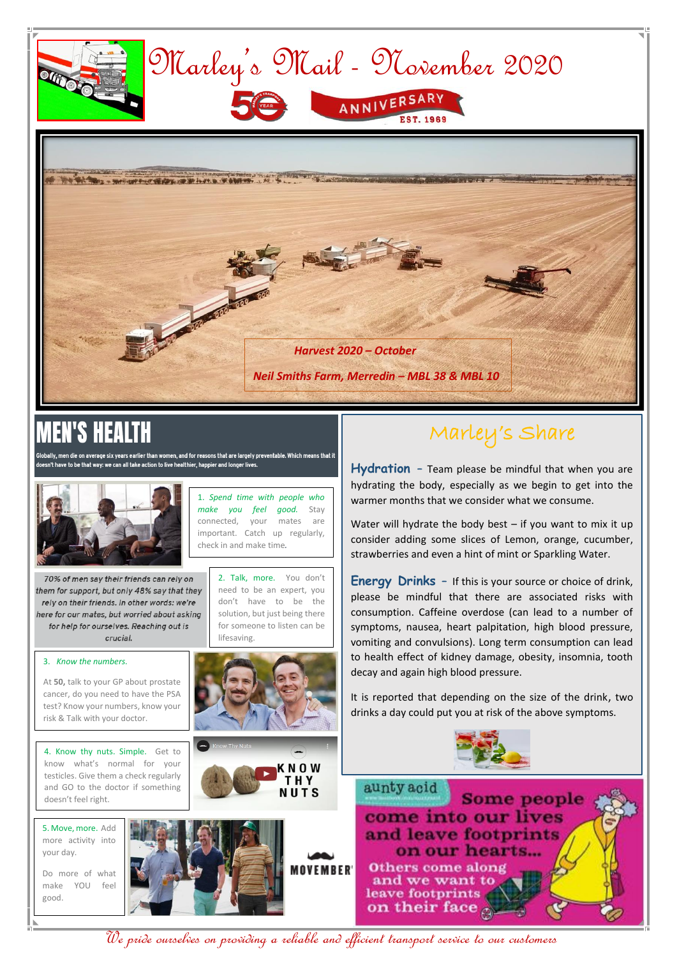

# l'S

n die on average six years earlier than women, and for reasons that are largely preventable. Which means that it n't have to be that way: we can all take action to live healthier, happier and longer lives.



### Marley's Share

**Hydration –** Team please be mindful that when you are hydrating the body, especially as we begin to get into the warmer months that we consider what we consume.

Water will hydrate the body best  $-$  if you want to mix it up consider adding some slices of Lemon, orange, cucumber, strawberries and even a hint of mint or Sparkling Water.

**Energy Drinks –** If this is your source or choice of drink, please be mindful that there are associated risks with consumption. Caffeine overdose (can lead to a number of symptoms, nausea, heart palpitation, high blood pressure, vomiting and convulsions). Long term consumption can lead to health effect of kidney damage, obesity, insomnia, tooth decay and again high blood pressure.

It is reported that depending on the size of the drink, two drinks a day could put you at risk of the above symptoms.





We pride ourselves on providing a reliable and efficient transport service to our customers